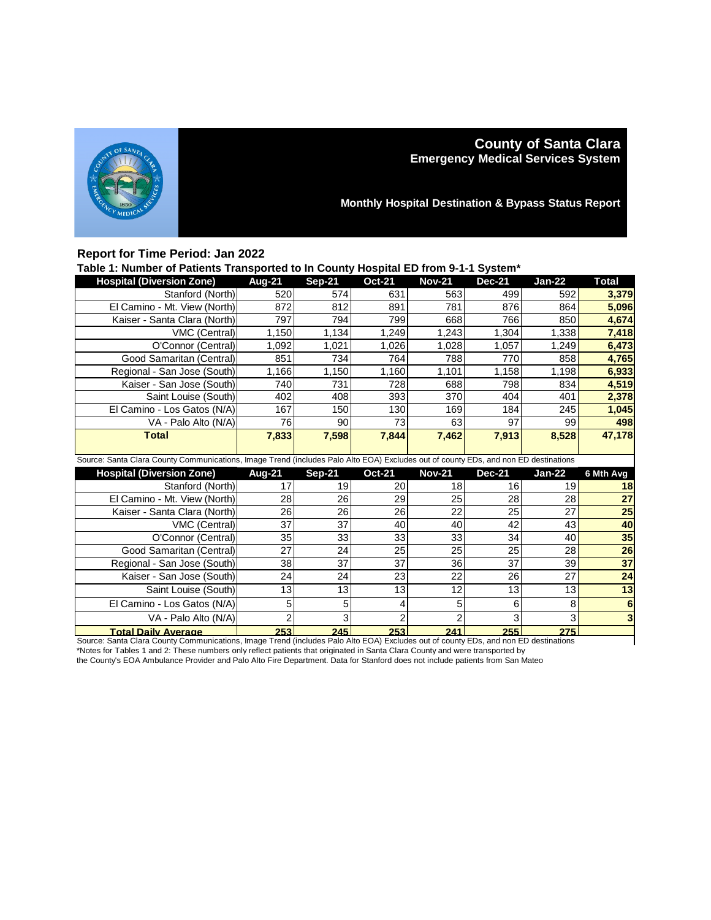

# **County of Santa Clara Emergency Medical Services System**

**Monthly Hospital Destination & Bypass Status Report**

## **Report for Time Period: Jan 2022**

| Table 1: Number of Patients Transported to In County Hospital ED from 9-1-1 System* |                      |      |     |               |          |        |       |
|-------------------------------------------------------------------------------------|----------------------|------|-----|---------------|----------|--------|-------|
| <b>Hospital (Diversion Zone)</b>                                                    | Aug-21 Sep-21 Oct-21 |      |     | <b>Nov-21</b> | $Dec-21$ | Jan-22 | Total |
| Stanford (North)                                                                    | 5201                 | 5741 | 631 | 563           | 499      | 592    | 3.379 |
|                                                                                     |                      |      |     |               |          |        |       |

| Staniolu (North)                                                                                                                    | ວ∠ບ∣  | 374 I | OJ I  | ၁၀၁၊  | 499   | ວອ∠⊧  | <u>ა,აr უ</u> |  |
|-------------------------------------------------------------------------------------------------------------------------------------|-------|-------|-------|-------|-------|-------|---------------|--|
| El Camino - Mt. View (North)                                                                                                        | 872   | 812   | 891   | 781   | 876   | 864   | 5,096         |  |
| Kaiser - Santa Clara (North)                                                                                                        | 797   | 7941  | 799   | 668   | 766   | 850   | 4,674         |  |
| VMC (Central)                                                                                                                       | 1,150 | 1,134 | 1.249 | 1,243 | 1,304 | 1,338 | 7,418         |  |
| O'Connor (Central)                                                                                                                  | 092.ا | 1,021 | 1,026 | 1,028 | 1,057 | 1,249 | 6,473         |  |
| Good Samaritan (Central)                                                                                                            | 851   | 734 l | 764   | 788   | 770   | 858   | 4,765         |  |
| Regional - San Jose (South)                                                                                                         | 1,166 | 1,150 | 1,160 | 1,101 | 1,158 | 1,198 | 6,933         |  |
| Kaiser - San Jose (South)                                                                                                           | 740   | 731   | 728   | 688   | 798   | 834   | 4,519         |  |
| Saint Louise (South)                                                                                                                | 402   | 408   | 393   | 370   | 404   | 401   | 2,378         |  |
| El Camino - Los Gatos (N/A)                                                                                                         | 167   | 150   | 130   | 169   | 184   | 245   | 1,045         |  |
| VA - Palo Alto (N/A)                                                                                                                | 76    | 90    | 73    | 63    | 97    | 99    | 498           |  |
| <b>Total</b>                                                                                                                        | 7,833 | 7,598 | 7,844 | 7,462 | 7,913 | 8,528 | 47,178        |  |
|                                                                                                                                     |       |       |       |       |       |       |               |  |
| Source: Santa Clara County Communications, Image Trend (includes Palo Alto EOA) Excludes out of county EDs, and non ED destinations |       |       |       |       |       |       |               |  |

| <b>Hospital (Diversion Zone)</b>                                                                                                    | <b>Aug-21</b> | $Sep-21$        | <b>Oct-21</b>   | <b>Nov-21</b> | <b>Dec-21</b> | Jan-22 | 6 Mth Avg |
|-------------------------------------------------------------------------------------------------------------------------------------|---------------|-----------------|-----------------|---------------|---------------|--------|-----------|
| Stanford (North)                                                                                                                    | 17            | 19              | 20              | 18            | 16            | 19     | 18        |
| El Camino - Mt. View (North)                                                                                                        | 28            | 26              | 29              | 25            | 28            | 28     | 27        |
| Kaiser - Santa Clara (North)                                                                                                        | 26            | 26              | 26 <sup>1</sup> | 22            | 25            | 27     | 25        |
| VMC (Central)                                                                                                                       | 37            | 37              | 40              | 40            | 42            | 43     | 40        |
| O'Connor (Central)                                                                                                                  | 35            | 33 <sub>1</sub> | 33              | 33            | 34            | 40     | 35        |
| Good Samaritan (Central)                                                                                                            | 27            | 24              | 25              | 25            | 25            | 28     | 26        |
| Regional - San Jose (South)                                                                                                         | 38            | 37              | 37              | 36            | 37            | 39     | 37        |
| Kaiser - San Jose (South)                                                                                                           | 24            | 24              | 23              | 22            | 26            | 27     | 24        |
| Saint Louise (South)                                                                                                                | 13            | 13              | 13              | 12            | 13            | 13     | 13        |
| El Camino - Los Gatos (N/A)                                                                                                         | 5             | 5               | 4               |               | 6             | 8      | 6         |
| VA - Palo Alto (N/A)                                                                                                                | ◠             | 3               |                 |               |               | 3      |           |
| <b>Total Daily Average</b>                                                                                                          | 253           | 245             | 253             | 241           | 255           | 275    |           |
| Source: Santa Clara County Communications, Image Trend (includes Palo Alto EOA) Excludes out of county EDs, and non ED destinations |               |                 |                 |               |               |        |           |

**Total Daily Average 253 245 253 241 255 275** Source: Santa Clara County Communications, Image Trend (includes Palo Alto EOA) Excludes out of county EDs, and non ED destinations \*Notes for Tables 1 and 2: These numbers only reflect patients that originated in Santa Clara County and were transported by

the County's EOA Ambulance Provider and Palo Alto Fire Department. Data for Stanford does not include patients from San Mateo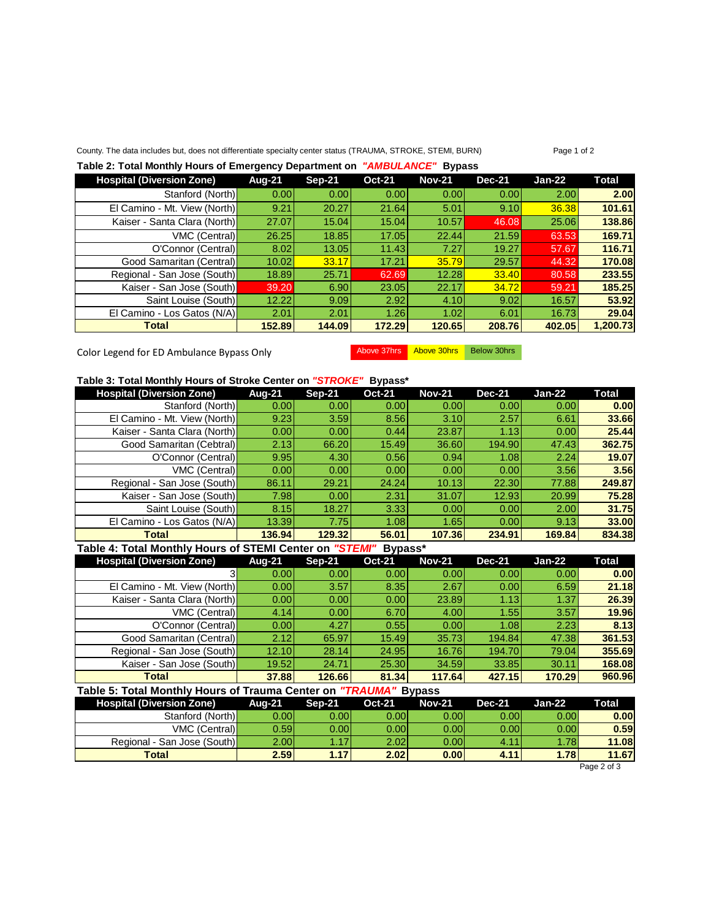#### County. The data includes but, does not differentiate specialty center status (TRAUMA, STROKE, STEMI, BURN) Page 1 of 2

### **Table 2: Total Monthly Hours of Emergency Department on** *"AMBULANCE"* **Bypass**

| <b>Hospital (Diversion Zone)</b> | Aug-21 | $Sep-21$ | <b>Oct-21</b> | <b>Nov-21</b> | <b>Dec-21</b> | Jan-22 | Total    |
|----------------------------------|--------|----------|---------------|---------------|---------------|--------|----------|
| Stanford (North)                 | 0.001  | 0.001    | 0.00          | 0.001         | 0.00          | 2.00   | 2.00     |
| El Camino - Mt. View (North)     | 9.21   | 20.27    | 21.64         | 5.01          | 9.10          | 36.38  | 101.61   |
| Kaiser - Santa Clara (North)     | 27.07  | 15.04    | 15.04         | 10.57         | 46.08         | 25.06  | 138.86   |
| VMC (Central)                    | 26.25  | 18.85    | 17.05         | 22.44         | 21.59         | 63.53  | 169.71   |
| O'Connor (Central)               | 8.02   | 13.05    | 11.43         | 7.27          | 19.27         | 57.67  | 116.71   |
| Good Samaritan (Central)         | 10.02  | 33.17    | 17.21         | 35.79         | 29.57         | 44.32  | 170.08   |
| Regional - San Jose (South)      | 18.89  | 25.71    | 62.69         | 12.28         | 33.40         | 80.58  | 233.55   |
| Kaiser - San Jose (South)        | 39.20  | 6.90     | 23.05         | 22.17         | 34.72         | 59.21  | 185.25   |
| Saint Louise (South)             | 12.22  | 9.09     | 2.92          | 4.10          | 9.02          | 16.57  | 53.92    |
| El Camino - Los Gatos (N/A)      | 2.01   | 2.01     | 1.26          | 1.02          | 6.01          | 16.73  | 29.04    |
| <b>Total</b>                     | 152.89 | 144.09   | 172.29        | 120.65        | 208.76        | 402.05 | 1,200.73 |

Color Legend for ED Ambulance Bypass Only Above 37hrs Above 30hrs Below 30hrs

| Table 3: Total Monthly Hours of Stroke Center on "STROKE"<br>Bypass* |        |        |                   |               |               |          |        |  |  |
|----------------------------------------------------------------------|--------|--------|-------------------|---------------|---------------|----------|--------|--|--|
| <b>Hospital (Diversion Zone)</b>                                     | Aug-21 | Sep-21 | <b>Oct-21</b>     | <b>Nov-21</b> | <b>Dec-21</b> | $Jan-22$ | Total  |  |  |
| Stanford (North)                                                     | 0.00   | 0.001  | 0.00 <sub>l</sub> | 0.00          | 0.00          | 0.00     | 0.00   |  |  |
| El Camino - Mt. View (North)                                         | 9.23   | 3.59   | 8.56              | 3.10          | 2.57          | 6.61     | 33.66  |  |  |
| Kaiser - Santa Clara (North)                                         | 0.00   | 0.001  | 0.44              | 23.87         | 1.13          | 0.00     | 25.44  |  |  |
| Good Samaritan (Cebtral)                                             | 2.13   | 66.20  | 15.49             | 36.60         | 194.90        | 47.43    | 362.75 |  |  |
| O'Connor (Central)                                                   | 9.95   | 4.30   | 0.56              | 0.94          | 1.08          | 2.24     | 19.07  |  |  |
| VMC (Central)                                                        | 0.00   | 0.001  | 0.00              | 0.00          | 0.00          | 3.56     | 3.56   |  |  |
| Regional - San Jose (South)                                          | 86.11  | 29.21  | 24.24             | 10.13         | 22.30         | 77.88    | 249.87 |  |  |
| Kaiser - San Jose (South)                                            | 7.98   | 0.00   | 2.31              | 31.07         | 12.93         | 20.99    | 75.28  |  |  |
| Saint Louise (South)                                                 | 8.15   | 18.27  | 3.33              | 0.00          | 0.00          | 2.00     | 31.75  |  |  |
| El Camino - Los Gatos (N/A)                                          | 13.39  | 7.75   | 1.081             | 1.65          | 0.00          | 9.13     | 33.00  |  |  |
| <b>Total</b>                                                         | 136.94 | 129.32 | 56.01             | 107.36        | 234.91        | 169.84   | 834.38 |  |  |

### **Table 4: Total Monthly Hours of STEMI Center on** *"STEMI"* **Bypass\***

| <b>Hospital (Diversion Zone)</b> | <b>Aug-21</b> | <b>Sep-21</b> | <b>Oct-21</b> | <b>Nov-21</b> | <b>Dec-21</b> | $Jan-22$ | Total  |
|----------------------------------|---------------|---------------|---------------|---------------|---------------|----------|--------|
|                                  | 0.00          | 0.001         | 0.001         | 0.00          | 0.001         | 0.00     | 0.00   |
| El Camino - Mt. View (North)     | 0.00          | 3.57          | 8.35          | 2.67          | 0.00          | 6.59     | 21.18  |
| Kaiser - Santa Clara (North)     | 0.00          | 0.001         | 0.001         | 23.89         | 1.13          | 1.37     | 26.39  |
| VMC (Central)                    | 4.14          | 0.001         | 6.70          | 4.00          | 1.55          | 3.57     | 19.96  |
| O'Connor (Central)               | 0.00          | 4.27          | 0.55          | 0.00          | 1.08          | 2.23     | 8.13   |
| Good Samaritan (Central)         | 2.12          | 65.97         | 15.49         | 35.73         | 194.84        | 47.38    | 361.53 |
| Regional - San Jose (South)      | 12.10         | 28.14         | 24.95         | 16.76         | 194.70        | 79.04    | 355.69 |
| Kaiser - San Jose (South)        | 19.52         | 24.71         | 25.30         | 34.59         | 33.85         | 30.11    | 168.08 |
| <b>Total</b>                     | 37.88         | 126.66        | 81.34         | 117.64        | 427.15        | 170.29   | 960.96 |

## **Table 5: Total Monthly Hours of Trauma Center on** *"TRAUMA"* **Bypass**

| <b>Aug-21</b> | Sep-21                                                           | <b>Oct-21</b>          | <b>Nov-21</b>                  | <b>Dec-21</b>                               | Jan-22                  | Total        |
|---------------|------------------------------------------------------------------|------------------------|--------------------------------|---------------------------------------------|-------------------------|--------------|
|               |                                                                  |                        |                                |                                             | 0.00                    | 0.00         |
|               |                                                                  |                        |                                |                                             | 0.00                    | 0.59         |
|               |                                                                  |                        |                                | 4.11                                        | 1.78                    | 11.08        |
| 2.59          |                                                                  |                        | 0.00                           | 4.11                                        | 1.78                    | 11.67        |
|               | Stanford (North)<br>VMC (Central)<br>Regional - San Jose (South) | 0.00l<br>0.59l<br>2.00 | 0.00l<br>0.00l<br>.17'<br>1.17 | 0.001<br>0.001<br>2.02 <sub>l</sub><br>2.02 | 0.00l<br>0.001<br>0.001 | 0.00<br>0.00 |

Page 2 of 3